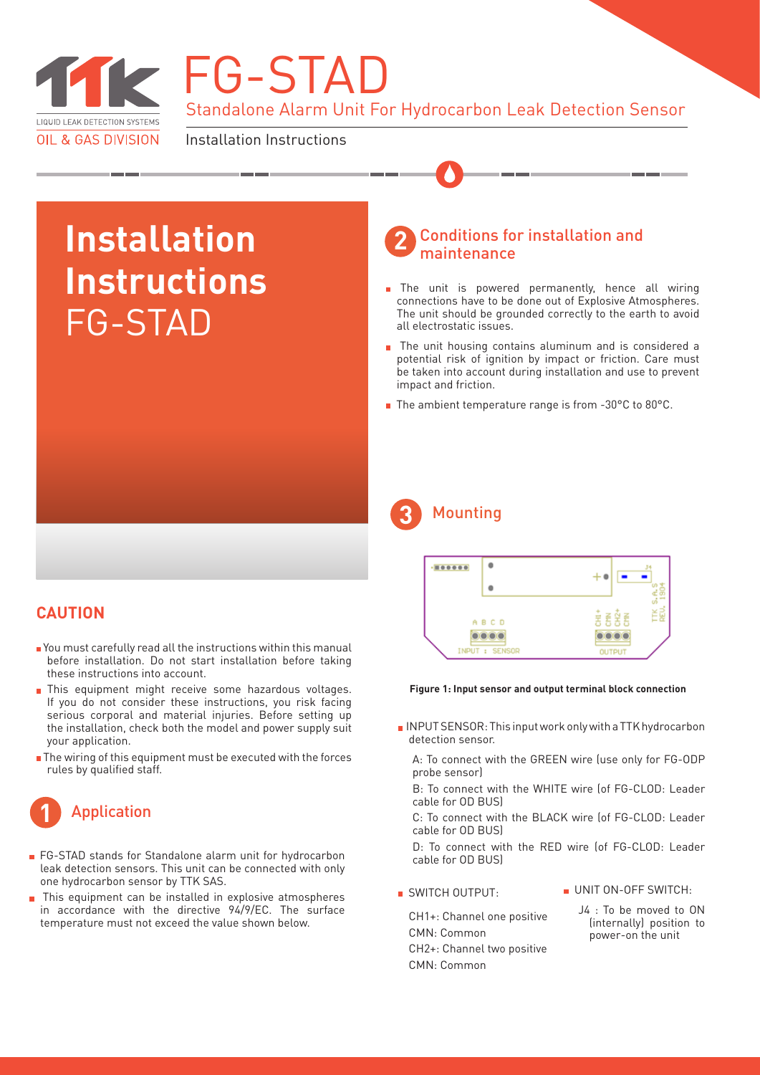

Standalone Alarm Unit For Hydrocarbon Leak Detection Sensor **FG-STAD** 

Installation Instructions

# **Installation Instructions** FG-STAD

#### **2** Conditions for installation and maintenance

- The unit is powered permanently, hence all wiring connections have to be done out of Explosive Atmospheres. The unit should be grounded correctly to the earth to avoid all electrostatic issues.
- **n** The unit housing contains aluminum and is considered a potential risk of ignition by impact or friction. Care must be taken into account during installation and use to prevent impact and friction.
- The ambient temperature range is from -30°C to 80°C.

## **3** Mounting



#### **Figure 1: Input sensor and output terminal block connection**

INPUT SENSOR: This input work only with a TTK hydrocarbon detection sensor.

A: To connect with the GREEN wire (use only for FG-ODP probe sensor)

B: To connect with the WHITE wire (of FG-CLOD: Leader cable for OD BUS)

C: To connect with the BLACK wire (of FG-CLOD: Leader cable for OD BUS)

D: To connect with the RED wire (of FG-CLOD: Leader cable for OD BUS)

SWITCH OUTPUT:

UNIT ON-OFF SWITCH-

CH1+: Channel one positive CMN: Common CH2+: Channel two positive CMN: Common

J4 : To be moved to ON (internally) position to power-on the unit

## **CAUTION**

- You must carefully read all the instructions within this manual before installation. Do not start installation before taking these instructions into account.
- This equipment might receive some hazardous voltages. If you do not consider these instructions, you risk facing serious corporal and material injuries. Before setting up the installation, check both the model and power supply suit your application.
- The wiring of this equipment must be executed with the forces rules by qualified staff.



- **FG-STAD** stands for Standalone alarm unit for hydrocarbon leak detection sensors. This unit can be connected with only one hydrocarbon sensor by TTK SAS.
- This equipment can be installed in explosive atmospheres in accordance with the directive 94/9/EC. The surface temperature must not exceed the value shown below.